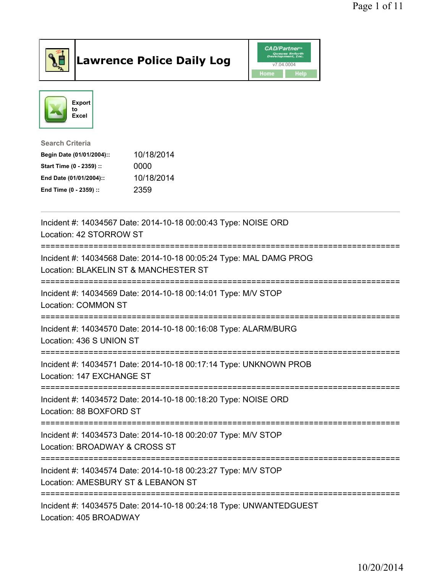

## Lawrence Police Daily Log **Daniel CAD/Partner**





Search Criteria Begin Date (01/01/2004):: 10/18/2014 Start Time (0 - 2359) :: 0000 End Date (01/01/2004):: 10/18/2014 End Time (0 - 2359) :: 2359

| Incident #: 14034567 Date: 2014-10-18 00:00:43 Type: NOISE ORD<br>Location: 42 STORROW ST                                        |
|----------------------------------------------------------------------------------------------------------------------------------|
| Incident #: 14034568 Date: 2014-10-18 00:05:24 Type: MAL DAMG PROG<br>Location: BLAKELIN ST & MANCHESTER ST                      |
| Incident #: 14034569 Date: 2014-10-18 00:14:01 Type: M/V STOP<br>Location: COMMON ST                                             |
| Incident #: 14034570 Date: 2014-10-18 00:16:08 Type: ALARM/BURG<br>Location: 436 S UNION ST                                      |
| Incident #: 14034571 Date: 2014-10-18 00:17:14 Type: UNKNOWN PROB<br>Location: 147 EXCHANGE ST                                   |
| Incident #: 14034572 Date: 2014-10-18 00:18:20 Type: NOISE ORD<br>Location: 88 BOXFORD ST                                        |
| Incident #: 14034573 Date: 2014-10-18 00:20:07 Type: M/V STOP<br>Location: BROADWAY & CROSS ST                                   |
| Incident #: 14034574 Date: 2014-10-18 00:23:27 Type: M/V STOP<br>Location: AMESBURY ST & LEBANON ST<br>:======================== |
| Incident #: 14034575 Date: 2014-10-18 00:24:18 Type: UNWANTEDGUEST<br>Location: 405 BROADWAY                                     |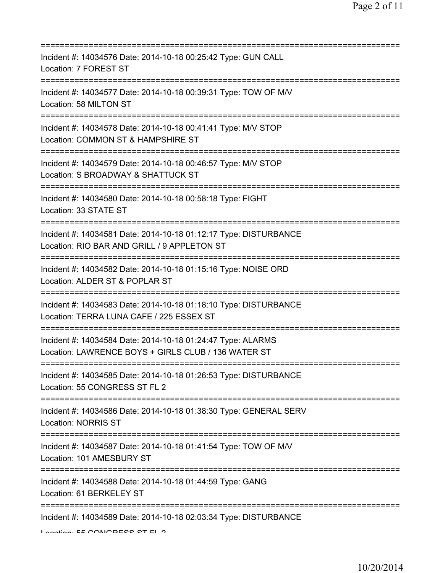| Incident #: 14034576 Date: 2014-10-18 00:25:42 Type: GUN CALL<br>Location: 7 FOREST ST                                                              |
|-----------------------------------------------------------------------------------------------------------------------------------------------------|
| Incident #: 14034577 Date: 2014-10-18 00:39:31 Type: TOW OF M/V<br>Location: 58 MILTON ST                                                           |
| Incident #: 14034578 Date: 2014-10-18 00:41:41 Type: M/V STOP<br>Location: COMMON ST & HAMPSHIRE ST<br>;===============================             |
| Incident #: 14034579 Date: 2014-10-18 00:46:57 Type: M/V STOP<br>Location: S BROADWAY & SHATTUCK ST                                                 |
| Incident #: 14034580 Date: 2014-10-18 00:58:18 Type: FIGHT<br>Location: 33 STATE ST                                                                 |
| Incident #: 14034581 Date: 2014-10-18 01:12:17 Type: DISTURBANCE<br>Location: RIO BAR AND GRILL / 9 APPLETON ST<br>.------------------------        |
| Incident #: 14034582 Date: 2014-10-18 01:15:16 Type: NOISE ORD<br>Location: ALDER ST & POPLAR ST                                                    |
| ===================================<br>Incident #: 14034583 Date: 2014-10-18 01:18:10 Type: DISTURBANCE<br>Location: TERRA LUNA CAFE / 225 ESSEX ST |
| Incident #: 14034584 Date: 2014-10-18 01:24:47 Type: ALARMS<br>Location: LAWRENCE BOYS + GIRLS CLUB / 136 WATER ST                                  |
| Incident #: 14034585 Date: 2014-10-18 01:26:53 Type: DISTURBANCE<br>Location: 55 CONGRESS ST FL 2                                                   |
| Incident #: 14034586 Date: 2014-10-18 01:38:30 Type: GENERAL SERV<br><b>Location: NORRIS ST</b>                                                     |
| Incident #: 14034587 Date: 2014-10-18 01:41:54 Type: TOW OF M/V<br>Location: 101 AMESBURY ST                                                        |
| :=====================================<br>Incident #: 14034588 Date: 2014-10-18 01:44:59 Type: GANG<br>Location: 61 BERKELEY ST                     |
| Incident #: 14034589 Date: 2014-10-18 02:03:34 Type: DISTURBANCE<br>Lootion. EE CONICDEOO OT EL O                                                   |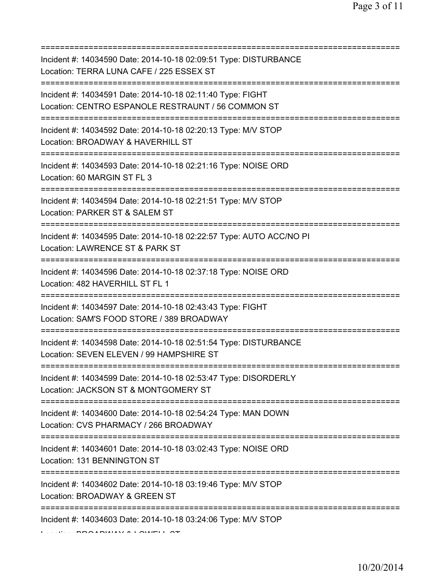| Incident #: 14034590 Date: 2014-10-18 02:09:51 Type: DISTURBANCE<br>Location: TERRA LUNA CAFE / 225 ESSEX ST<br>=========================   |
|---------------------------------------------------------------------------------------------------------------------------------------------|
| Incident #: 14034591 Date: 2014-10-18 02:11:40 Type: FIGHT<br>Location: CENTRO ESPANOLE RESTRAUNT / 56 COMMON ST                            |
| Incident #: 14034592 Date: 2014-10-18 02:20:13 Type: M/V STOP<br>Location: BROADWAY & HAVERHILL ST<br>===================================== |
| Incident #: 14034593 Date: 2014-10-18 02:21:16 Type: NOISE ORD<br>Location: 60 MARGIN ST FL 3                                               |
| Incident #: 14034594 Date: 2014-10-18 02:21:51 Type: M/V STOP<br>Location: PARKER ST & SALEM ST<br>====================                     |
| Incident #: 14034595 Date: 2014-10-18 02:22:57 Type: AUTO ACC/NO PI<br>Location: LAWRENCE ST & PARK ST                                      |
| Incident #: 14034596 Date: 2014-10-18 02:37:18 Type: NOISE ORD<br>Location: 482 HAVERHILL ST FL 1<br>=============                          |
| Incident #: 14034597 Date: 2014-10-18 02:43:43 Type: FIGHT<br>Location: SAM'S FOOD STORE / 389 BROADWAY                                     |
| Incident #: 14034598 Date: 2014-10-18 02:51:54 Type: DISTURBANCE<br>Location: SEVEN ELEVEN / 99 HAMPSHIRE ST                                |
| Incident #: 14034599 Date: 2014-10-18 02:53:47 Type: DISORDERLY<br>Location: JACKSON ST & MONTGOMERY ST                                     |
| Incident #: 14034600 Date: 2014-10-18 02:54:24 Type: MAN DOWN<br>Location: CVS PHARMACY / 266 BROADWAY                                      |
| Incident #: 14034601 Date: 2014-10-18 03:02:43 Type: NOISE ORD<br>Location: 131 BENNINGTON ST                                               |
| Incident #: 14034602 Date: 2014-10-18 03:19:46 Type: M/V STOP<br>Location: BROADWAY & GREEN ST                                              |
| Incident #: 14034603 Date: 2014-10-18 03:24:06 Type: M/V STOP                                                                               |

 $L_{\text{eff}}$   $\sim$  BROADWAY & LOWELL ST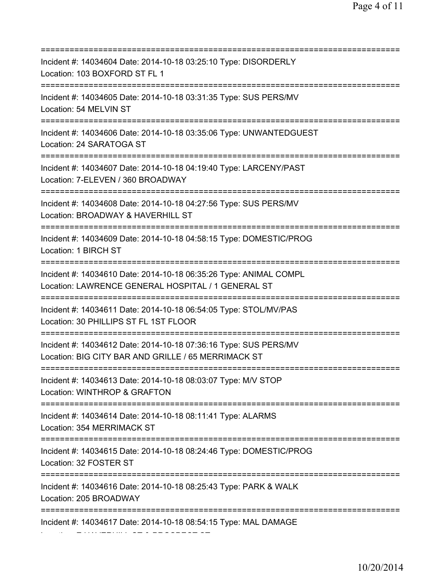=========================================================================== Incident #: 14034604 Date: 2014-10-18 03:25:10 Type: DISORDERLY Location: 103 BOXFORD ST FL 1 =========================================================================== Incident #: 14034605 Date: 2014-10-18 03:31:35 Type: SUS PERS/MV Location: 54 MELVIN ST =========================================================================== Incident #: 14034606 Date: 2014-10-18 03:35:06 Type: UNWANTEDGUEST Location: 24 SARATOGA ST =========================================================================== Incident #: 14034607 Date: 2014-10-18 04:19:40 Type: LARCENY/PAST Location: 7-ELEVEN / 360 BROADWAY =========================================================================== Incident #: 14034608 Date: 2014-10-18 04:27:56 Type: SUS PERS/MV Location: BROADWAY & HAVERHILL ST =========================================================================== Incident #: 14034609 Date: 2014-10-18 04:58:15 Type: DOMESTIC/PROG Location: 1 BIRCH ST =========================================================================== Incident #: 14034610 Date: 2014-10-18 06:35:26 Type: ANIMAL COMPL Location: LAWRENCE GENERAL HOSPITAL / 1 GENERAL ST =========================================================================== Incident #: 14034611 Date: 2014-10-18 06:54:05 Type: STOL/MV/PAS Location: 30 PHILLIPS ST FL 1ST FLOOR =========================================================================== Incident #: 14034612 Date: 2014-10-18 07:36:16 Type: SUS PERS/MV Location: BIG CITY BAR AND GRILLE / 65 MERRIMACK ST =========================================================================== Incident #: 14034613 Date: 2014-10-18 08:03:07 Type: M/V STOP Location: WINTHROP & GRAFTON =========================================================================== Incident #: 14034614 Date: 2014-10-18 08:11:41 Type: ALARMS Location: 354 MERRIMACK ST =========================================================================== Incident #: 14034615 Date: 2014-10-18 08:24:46 Type: DOMESTIC/PROG Location: 32 FOSTER ST =========================================================================== Incident #: 14034616 Date: 2014-10-18 08:25:43 Type: PARK & WALK Location: 205 BROADWAY =========================================================================== Incident #: 14034617 Date: 2014-10-18 08:54:15 Type: MAL DAMAGE Location: E HAVERHILL ST & PROSPECT ST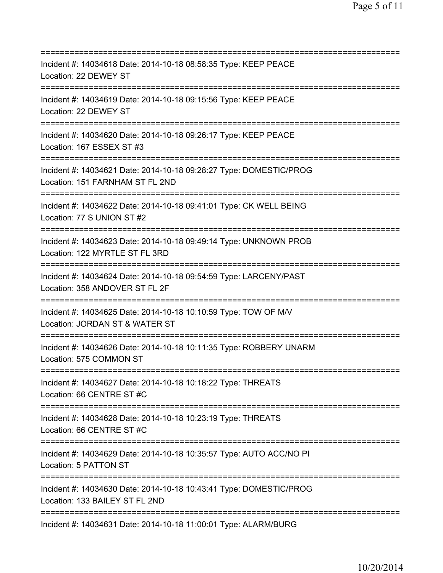| Incident #: 14034618 Date: 2014-10-18 08:58:35 Type: KEEP PEACE<br>Location: 22 DEWEY ST                                                  |
|-------------------------------------------------------------------------------------------------------------------------------------------|
| Incident #: 14034619 Date: 2014-10-18 09:15:56 Type: KEEP PEACE<br>Location: 22 DEWEY ST                                                  |
| Incident #: 14034620 Date: 2014-10-18 09:26:17 Type: KEEP PEACE<br>Location: 167 ESSEX ST #3                                              |
| Incident #: 14034621 Date: 2014-10-18 09:28:27 Type: DOMESTIC/PROG<br>Location: 151 FARNHAM ST FL 2ND                                     |
| Incident #: 14034622 Date: 2014-10-18 09:41:01 Type: CK WELL BEING<br>Location: 77 S UNION ST #2<br>============================          |
| Incident #: 14034623 Date: 2014-10-18 09:49:14 Type: UNKNOWN PROB<br>Location: 122 MYRTLE ST FL 3RD                                       |
| Incident #: 14034624 Date: 2014-10-18 09:54:59 Type: LARCENY/PAST<br>Location: 358 ANDOVER ST FL 2F                                       |
| Incident #: 14034625 Date: 2014-10-18 10:10:59 Type: TOW OF M/V<br>Location: JORDAN ST & WATER ST<br>==============                       |
| Incident #: 14034626 Date: 2014-10-18 10:11:35 Type: ROBBERY UNARM<br>Location: 575 COMMON ST                                             |
| Incident #: 14034627 Date: 2014-10-18 10:18:22 Type: THREATS<br>Location: 66 CENTRE ST #C                                                 |
| Incident #: 14034628 Date: 2014-10-18 10:23:19 Type: THREATS<br>Location: 66 CENTRE ST #C                                                 |
| Incident #: 14034629 Date: 2014-10-18 10:35:57 Type: AUTO ACC/NO PI<br>Location: 5 PATTON ST                                              |
| ;================================<br>Incident #: 14034630 Date: 2014-10-18 10:43:41 Type: DOMESTIC/PROG<br>Location: 133 BAILEY ST FL 2ND |
| Incident #: 14034631 Date: 2014-10-18 11:00:01 Type: ALARM/BURG                                                                           |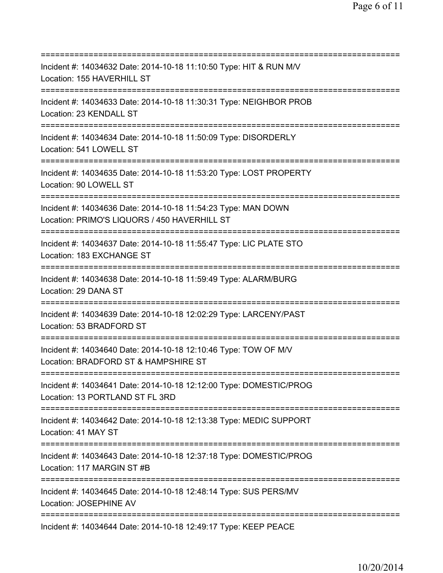=========================================================================== Incident #: 14034632 Date: 2014-10-18 11:10:50 Type: HIT & RUN M/V Location: 155 HAVERHILL ST =========================================================================== Incident #: 14034633 Date: 2014-10-18 11:30:31 Type: NEIGHBOR PROB Location: 23 KENDALL ST =========================================================================== Incident #: 14034634 Date: 2014-10-18 11:50:09 Type: DISORDERLY Location: 541 LOWELL ST =========================================================================== Incident #: 14034635 Date: 2014-10-18 11:53:20 Type: LOST PROPERTY Location: 90 LOWELL ST =========================================================================== Incident #: 14034636 Date: 2014-10-18 11:54:23 Type: MAN DOWN Location: PRIMO'S LIQUORS / 450 HAVERHILL ST =========================================================================== Incident #: 14034637 Date: 2014-10-18 11:55:47 Type: LIC PLATE STO Location: 183 EXCHANGE ST =========================================================================== Incident #: 14034638 Date: 2014-10-18 11:59:49 Type: ALARM/BURG Location: 29 DANA ST =========================================================================== Incident #: 14034639 Date: 2014-10-18 12:02:29 Type: LARCENY/PAST Location: 53 BRADFORD ST =========================================================================== Incident #: 14034640 Date: 2014-10-18 12:10:46 Type: TOW OF M/V Location: BRADFORD ST & HAMPSHIRE ST =========================================================================== Incident #: 14034641 Date: 2014-10-18 12:12:00 Type: DOMESTIC/PROG Location: 13 PORTLAND ST FL 3RD =========================================================================== Incident #: 14034642 Date: 2014-10-18 12:13:38 Type: MEDIC SUPPORT Location: 41 MAY ST =========================================================================== Incident #: 14034643 Date: 2014-10-18 12:37:18 Type: DOMESTIC/PROG Location: 117 MARGIN ST #B =========================================================================== Incident #: 14034645 Date: 2014-10-18 12:48:14 Type: SUS PERS/MV Location: JOSEPHINE AV =========================================================================== Incident #: 14034644 Date: 2014-10-18 12:49:17 Type: KEEP PEACE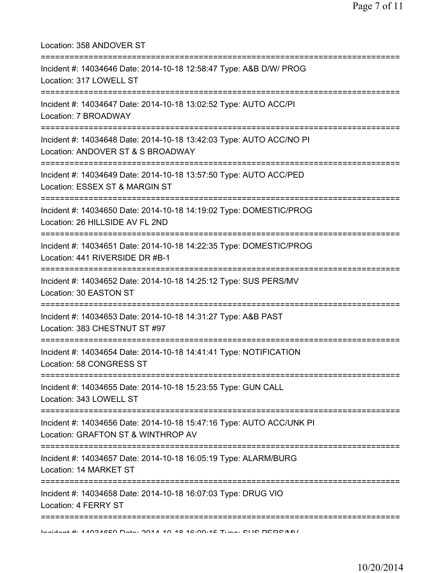| Location: 358 ANDOVER ST                                                                                   |
|------------------------------------------------------------------------------------------------------------|
| Incident #: 14034646 Date: 2014-10-18 12:58:47 Type: A&B D/W/ PROG<br>Location: 317 LOWELL ST              |
| Incident #: 14034647 Date: 2014-10-18 13:02:52 Type: AUTO ACC/PI<br>Location: 7 BROADWAY                   |
| Incident #: 14034648 Date: 2014-10-18 13:42:03 Type: AUTO ACC/NO PI<br>Location: ANDOVER ST & S BROADWAY   |
| Incident #: 14034649 Date: 2014-10-18 13:57:50 Type: AUTO ACC/PED<br>Location: ESSEX ST & MARGIN ST        |
| Incident #: 14034650 Date: 2014-10-18 14:19:02 Type: DOMESTIC/PROG<br>Location: 26 HILLSIDE AV FL 2ND      |
| Incident #: 14034651 Date: 2014-10-18 14:22:35 Type: DOMESTIC/PROG<br>Location: 441 RIVERSIDE DR #B-1      |
| Incident #: 14034652 Date: 2014-10-18 14:25:12 Type: SUS PERS/MV<br>Location: 30 EASTON ST                 |
| Incident #: 14034653 Date: 2014-10-18 14:31:27 Type: A&B PAST<br>Location: 383 CHESTNUT ST #97             |
| Incident #: 14034654 Date: 2014-10-18 14:41:41 Type: NOTIFICATION<br>Location: 58 CONGRESS ST              |
| Incident #: 14034655 Date: 2014-10-18 15:23:55 Type: GUN CALL<br>Location: 343 LOWELL ST                   |
| Incident #: 14034656 Date: 2014-10-18 15:47:16 Type: AUTO ACC/UNK PI<br>Location: GRAFTON ST & WINTHROP AV |
| Incident #: 14034657 Date: 2014-10-18 16:05:19 Type: ALARM/BURG<br>Location: 14 MARKET ST                  |
| Incident #: 14034658 Date: 2014-10-18 16:07:03 Type: DRUG VIO<br>Location: 4 FERRY ST                      |
| Indident # 44094650 Deta: 9044 40 40 46:00:45 Tune: OLIO DEDO/M/                                           |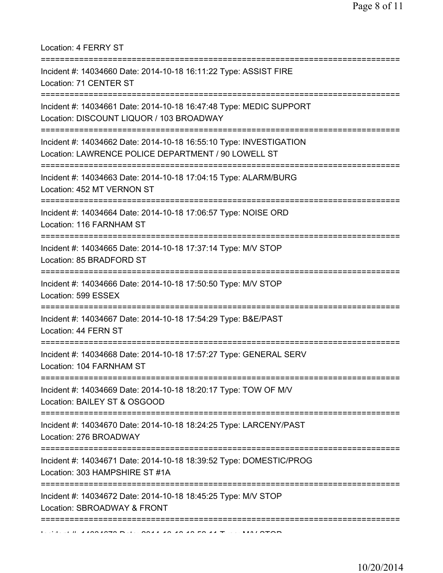Location: 4 FERRY ST

| Incident #: 14034660 Date: 2014-10-18 16:11:22 Type: ASSIST FIRE<br>Location: 71 CENTER ST                                 |
|----------------------------------------------------------------------------------------------------------------------------|
| Incident #: 14034661 Date: 2014-10-18 16:47:48 Type: MEDIC SUPPORT<br>Location: DISCOUNT LIQUOR / 103 BROADWAY             |
| Incident #: 14034662 Date: 2014-10-18 16:55:10 Type: INVESTIGATION<br>Location: LAWRENCE POLICE DEPARTMENT / 90 LOWELL ST  |
| Incident #: 14034663 Date: 2014-10-18 17:04:15 Type: ALARM/BURG<br>Location: 452 MT VERNON ST<br>:======================== |
| Incident #: 14034664 Date: 2014-10-18 17:06:57 Type: NOISE ORD<br>Location: 116 FARNHAM ST                                 |
| Incident #: 14034665 Date: 2014-10-18 17:37:14 Type: M/V STOP<br>Location: 85 BRADFORD ST                                  |
| Incident #: 14034666 Date: 2014-10-18 17:50:50 Type: M/V STOP<br>Location: 599 ESSEX                                       |
| Incident #: 14034667 Date: 2014-10-18 17:54:29 Type: B&E/PAST<br>Location: 44 FERN ST                                      |
| Incident #: 14034668 Date: 2014-10-18 17:57:27 Type: GENERAL SERV<br>Location: 104 FARNHAM ST                              |
| Incident #: 14034669 Date: 2014-10-18 18:20:17 Type: TOW OF M/V<br>Location: BAILEY ST & OSGOOD                            |
| Incident #: 14034670 Date: 2014-10-18 18:24:25 Type: LARCENY/PAST<br>Location: 276 BROADWAY                                |
| Incident #: 14034671 Date: 2014-10-18 18:39:52 Type: DOMESTIC/PROG<br>Location: 303 HAMPSHIRE ST #1A                       |
| Incident #: 14034672 Date: 2014-10-18 18:45:25 Type: M/V STOP<br>Location: SBROADWAY & FRONT                               |
|                                                                                                                            |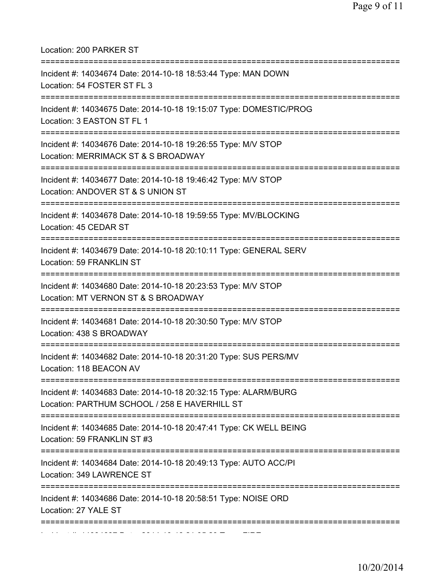Location: 200 PARKER ST =========================================================================== Incident #: 14034674 Date: 2014-10-18 18:53:44 Type: MAN DOWN Location: 54 FOSTER ST FL 3 =========================================================================== Incident #: 14034675 Date: 2014-10-18 19:15:07 Type: DOMESTIC/PROG Location: 3 EASTON ST FL 1 =========================================================================== Incident #: 14034676 Date: 2014-10-18 19:26:55 Type: M/V STOP Location: MERRIMACK ST & S BROADWAY =========================================================================== Incident #: 14034677 Date: 2014-10-18 19:46:42 Type: M/V STOP Location: ANDOVER ST & S UNION ST =========================================================================== Incident #: 14034678 Date: 2014-10-18 19:59:55 Type: MV/BLOCKING Location: 45 CEDAR ST =========================================================================== Incident #: 14034679 Date: 2014-10-18 20:10:11 Type: GENERAL SERV Location: 59 FRANKLIN ST =========================================================================== Incident #: 14034680 Date: 2014-10-18 20:23:53 Type: M/V STOP Location: MT VERNON ST & S BROADWAY =========================================================================== Incident #: 14034681 Date: 2014-10-18 20:30:50 Type: M/V STOP Location: 438 S BROADWAY =========================================================================== Incident #: 14034682 Date: 2014-10-18 20:31:20 Type: SUS PERS/MV Location: 118 BEACON AV =========================================================================== Incident #: 14034683 Date: 2014-10-18 20:32:15 Type: ALARM/BURG Location: PARTHUM SCHOOL / 258 E HAVERHILL ST =========================================================================== Incident #: 14034685 Date: 2014-10-18 20:47:41 Type: CK WELL BEING Location: 59 FRANKLIN ST #3 =========================================================================== Incident #: 14034684 Date: 2014-10-18 20:49:13 Type: AUTO ACC/PI Location: 349 LAWRENCE ST =========================================================================== Incident #: 14034686 Date: 2014-10-18 20:58:51 Type: NOISE ORD Location: 27 YALE ST =========================================================================== Incident #: 14034687 Date: 2014 10 18 21:05:29 Type: FIRE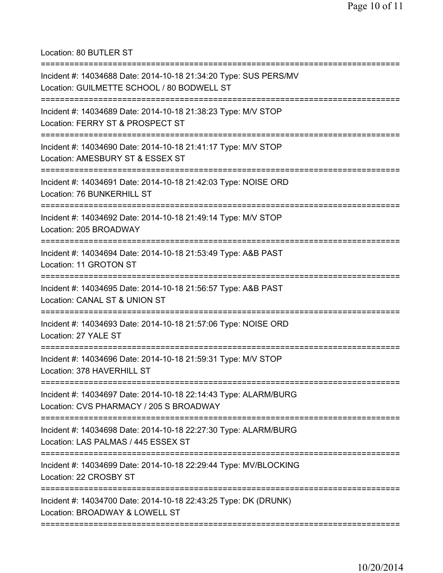Location: 80 BUTLER ST

| Incident #: 14034688 Date: 2014-10-18 21:34:20 Type: SUS PERS/MV<br>Location: GUILMETTE SCHOOL / 80 BODWELL ST                       |
|--------------------------------------------------------------------------------------------------------------------------------------|
| Incident #: 14034689 Date: 2014-10-18 21:38:23 Type: M/V STOP<br>Location: FERRY ST & PROSPECT ST                                    |
| Incident #: 14034690 Date: 2014-10-18 21:41:17 Type: M/V STOP<br>Location: AMESBURY ST & ESSEX ST                                    |
| Incident #: 14034691 Date: 2014-10-18 21:42:03 Type: NOISE ORD<br>Location: 76 BUNKERHILL ST                                         |
| Incident #: 14034692 Date: 2014-10-18 21:49:14 Type: M/V STOP<br>Location: 205 BROADWAY                                              |
| Incident #: 14034694 Date: 2014-10-18 21:53:49 Type: A&B PAST<br>Location: 11 GROTON ST                                              |
| Incident #: 14034695 Date: 2014-10-18 21:56:57 Type: A&B PAST<br>Location: CANAL ST & UNION ST<br>================================== |
| Incident #: 14034693 Date: 2014-10-18 21:57:06 Type: NOISE ORD<br>Location: 27 YALE ST                                               |
| Incident #: 14034696 Date: 2014-10-18 21:59:31 Type: M/V STOP<br>Location: 378 HAVERHILL ST                                          |
| Incident #: 14034697 Date: 2014-10-18 22:14:43 Type: ALARM/BURG<br>Location: CVS PHARMACY / 205 S BROADWAY                           |
| Incident #: 14034698 Date: 2014-10-18 22:27:30 Type: ALARM/BURG<br>Location: LAS PALMAS / 445 ESSEX ST                               |
| Incident #: 14034699 Date: 2014-10-18 22:29:44 Type: MV/BLOCKING<br>Location: 22 CROSBY ST                                           |
| =============================<br>Incident #: 14034700 Date: 2014-10-18 22:43:25 Type: DK (DRUNK)<br>Location: BROADWAY & LOWELL ST   |
|                                                                                                                                      |